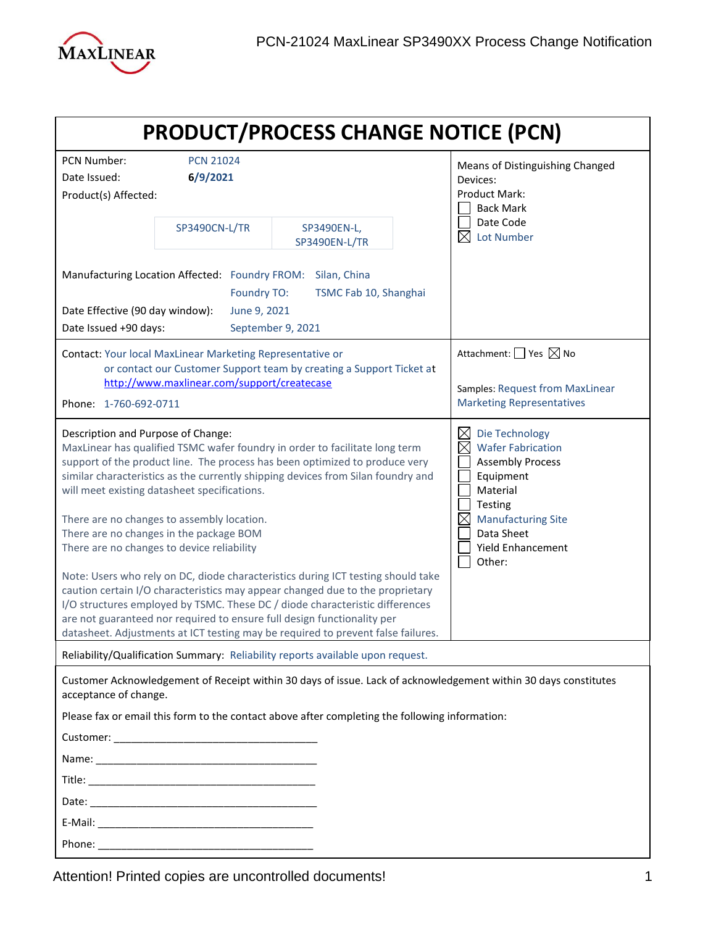

| <b>PRODUCT/PROCESS CHANGE NOTICE (PCN)</b>                                                                                                                                                                                                                                                                                                                                                                                                                                                                                                                                                                                                                                                                                                                                                                                                                                                      |                                    |                                                                                                |                                                                                                                                                                                            |
|-------------------------------------------------------------------------------------------------------------------------------------------------------------------------------------------------------------------------------------------------------------------------------------------------------------------------------------------------------------------------------------------------------------------------------------------------------------------------------------------------------------------------------------------------------------------------------------------------------------------------------------------------------------------------------------------------------------------------------------------------------------------------------------------------------------------------------------------------------------------------------------------------|------------------------------------|------------------------------------------------------------------------------------------------|--------------------------------------------------------------------------------------------------------------------------------------------------------------------------------------------|
| PCN Number:<br>Date Issued:<br>Product(s) Affected:                                                                                                                                                                                                                                                                                                                                                                                                                                                                                                                                                                                                                                                                                                                                                                                                                                             | <b>PCN 21024</b><br>6/9/2021       |                                                                                                | Means of Distinguishing Changed<br>Devices:<br>Product Mark:<br><b>Back Mark</b>                                                                                                           |
|                                                                                                                                                                                                                                                                                                                                                                                                                                                                                                                                                                                                                                                                                                                                                                                                                                                                                                 | SP3490CN-L/TR                      | SP3490EN-L,<br><b>SP3490EN-L/TR</b>                                                            | Date Code<br><b>Lot Number</b>                                                                                                                                                             |
| Manufacturing Location Affected: Foundry FROM:<br>Date Effective (90 day window):<br>Date Issued +90 days:                                                                                                                                                                                                                                                                                                                                                                                                                                                                                                                                                                                                                                                                                                                                                                                      | <b>Foundry TO:</b><br>June 9, 2021 | Silan, China<br>TSMC Fab 10, Shanghai<br>September 9, 2021                                     |                                                                                                                                                                                            |
| Contact: Your local MaxLinear Marketing Representative or<br>or contact our Customer Support team by creating a Support Ticket at<br>http://www.maxlinear.com/support/createcase<br>Phone: 1-760-692-0711                                                                                                                                                                                                                                                                                                                                                                                                                                                                                                                                                                                                                                                                                       |                                    |                                                                                                | Attachment: $\Box$ Yes $\boxtimes$ No<br>Samples: Request from MaxLinear<br><b>Marketing Representatives</b>                                                                               |
| Description and Purpose of Change:<br>MaxLinear has qualified TSMC wafer foundry in order to facilitate long term<br>support of the product line. The process has been optimized to produce very<br>similar characteristics as the currently shipping devices from Silan foundry and<br>will meet existing datasheet specifications.<br>There are no changes to assembly location.<br>There are no changes in the package BOM<br>There are no changes to device reliability<br>Note: Users who rely on DC, diode characteristics during ICT testing should take<br>caution certain I/O characteristics may appear changed due to the proprietary<br>I/O structures employed by TSMC. These DC / diode characteristic differences<br>are not guaranteed nor required to ensure full design functionality per<br>datasheet. Adjustments at ICT testing may be required to prevent false failures. |                                    |                                                                                                | Die Technology<br><b>Wafer Fabrication</b><br><b>Assembly Process</b><br>Equipment<br>Material<br>Testing<br><b>Manufacturing Site</b><br>Data Sheet<br><b>Yield Enhancement</b><br>Other: |
| Reliability/Qualification Summary: Reliability reports available upon request.                                                                                                                                                                                                                                                                                                                                                                                                                                                                                                                                                                                                                                                                                                                                                                                                                  |                                    |                                                                                                |                                                                                                                                                                                            |
| acceptance of change.                                                                                                                                                                                                                                                                                                                                                                                                                                                                                                                                                                                                                                                                                                                                                                                                                                                                           |                                    | Please fax or email this form to the contact above after completing the following information: | Customer Acknowledgement of Receipt within 30 days of issue. Lack of acknowledgement within 30 days constitutes                                                                            |
|                                                                                                                                                                                                                                                                                                                                                                                                                                                                                                                                                                                                                                                                                                                                                                                                                                                                                                 |                                    |                                                                                                |                                                                                                                                                                                            |